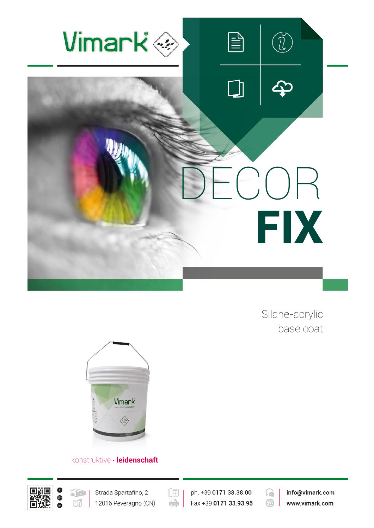

Silane-acrylic base coat



# konstruktive **∙ leidenschaft**





 $(\boxed{\mathbb{E}}$ ph. +39 0171 38.38.00 è Fax +39 0171 33.93.95



info@vimark.com www.vimark.com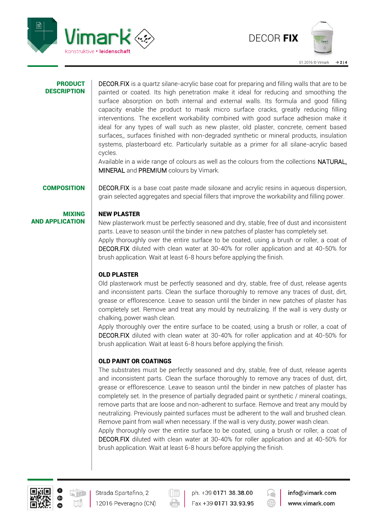



#### PRODUCT **DESCRIPTION**

DECOR.FIX is a quartz silane-acrylic base coat for preparing and filling walls that are to be painted or coated. Its high penetration make it ideal for reducing and smoothing the surface absorption on both internal and external walls. Its formula and good filling capacity enable the product to mask micro surface cracks, greatly reducing filling interventions. The excellent workability combined with good surface adhesion make it ideal for any types of wall such as new plaster, old plaster, concrete, cement based surfaces,, surfaces finished with non-degraded synthetic or mineral products, insulation systems, plasterboard etc. Particularly suitable as a primer for all silane-acrylic based cycles.

Available in a wide range of colours as well as the colours from the collections NATURAL, MINERAL and PREMIUM colours by Vimark.

AND APPLICATION

MIXING

**COMPOSITION** DECOR.FIX is a base coat paste made siloxane and acrylic resins in aqueous dispersion, grain selected aggregates and special fillers that improve the workability and filling power.

#### NEW PLASTER

New plasterwork must be perfectly seasoned and dry, stable, free of dust and inconsistent parts. Leave to season until the binder in new patches of plaster has completely set. Apply thoroughly over the entire surface to be coated, using a brush or roller, a coat of DECOR.FIX diluted with clean water at 30-40% for roller application and at 40-50% for brush application. Wait at least 6-8 hours before applying the finish.

## OLD PLASTER

Old plasterwork must be perfectly seasoned and dry, stable, free of dust, release agents and inconsistent parts. Clean the surface thoroughly to remove any traces of dust, dirt, grease or efflorescence. Leave to season until the binder in new patches of plaster has completely set. Remove and treat any mould by neutralizing. If the wall is very dusty or chalking, power wash clean.

Apply thoroughly over the entire surface to be coated, using a brush or roller, a coat of DECOR.FIX diluted with clean water at 30-40% for roller application and at 40-50% for brush application. Wait at least 6-8 hours before applying the finish.

## OLD PAINT OR COATINGS

The substrates must be perfectly seasoned and dry, stable, free of dust, release agents and inconsistent parts. Clean the surface thoroughly to remove any traces of dust, dirt, grease or efflorescence. Leave to season until the binder in new patches of plaster has completely set. In the presence of partially degraded paint or synthetic / mineral coatings, remove parts that are loose and non-adherent to surface. Remove and treat any mould by neutralizing. Previously painted surfaces must be adherent to the wall and brushed clean. Remove paint from wall when necessary. If the wall is very dusty, power wash clean.

Apply thoroughly over the entire surface to be coated, using a brush or roller, a coat of DECOR.FIX diluted with clean water at 30-40% for roller application and at 40-50% for brush application. Wait at least 6-8 hours before applying the finish.



ph. +39 0171 38.38.00 Fax +39 0171 33.93.95



info@vimark.com www.vimark.com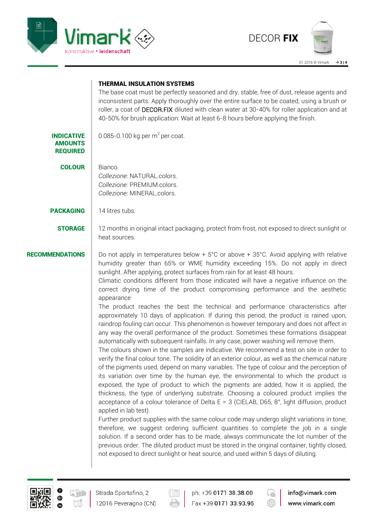



### THERMAL INSULATION SYSTEMS

The base coat must be perfectly seasoned and dry, stable, free of dust, release agents and inconsistent parts. Apply thoroughly over the entire surface to be coated, using a brush or roller, a coat of DECOR.FIX diluted with clean water at 30-40% for roller application and at 40-50% for brush application. Wait at least 6-8 hours before applying the finish.

INDICATIVE AMOUNTS 0.085-0.100 kg per  $m^2$  per coat.

**COLOUR** Bianco. *Collezione:* NATURAL.colors. *Collezione:* PREMIUM.colors. *Collezione:* MINERAL.colors.

PACKAGING 14 litres tubs.

REQUIRED

**STORAGE** 12 months in original intact packaging, protect from frost, not exposed to direct sunlight or heat sources.

**RECOMMENDATIONS** Do not apply in temperatures below  $+ 5^{\circ}$ C or above  $+ 35^{\circ}$ C. Avoid applying with relative humidity greater than 65% or WME humidity exceeding 15%. Do not apply in direct sunlight. After applying, protect surfaces from rain for at least 48 hours.

> Climatic conditions different from those indicated will have a negative influence on the correct drying time of the product compromising performance and the aesthetic appearance

> The product reaches the best the technical and performance characteristics after approximately 10 days of application. If during this period, the product is rained upon, raindrop fouling can occur. This phenomenon is however temporary and does not affect in any way the overall performance of the product. Sometimes these formations disappear automatically with subsequent rainfalls. In any case, power washing will remove them.

> The colours shown in the samples are indicative. We recommend a test on site in order to verify the final colour tone. The solidity of an exterior colour, as well as the chemical nature of the pigments used, depend on many variables. The type of colour and the perception of its variation over time by the human eye, the environmental to which the product is exposed, the type of product to which the pigments are added, how it is applied, the thickness, the type of underlying substrate. Choosing a coloured product implies the acceptance of a colour tolerance of Delta E = 3 (CIELAB, D65, 8°, light diffusion, product applied in lab test).

> Further product supplies with the same colour code may undergo slight variations in tone; therefore, we suggest ordering sufficient quantities to complete the job in a single solution. If a second order has to be made, always communicate the lot number of the previous order. The diluted product must be stored in the original container, tightly closed, not exposed to direct sunlight or heat source, and used within 5 days of diluting.



12016 Peveragno (CN)

ph. +39 0171 38.38.00 Fax +39 0171 33.93.95